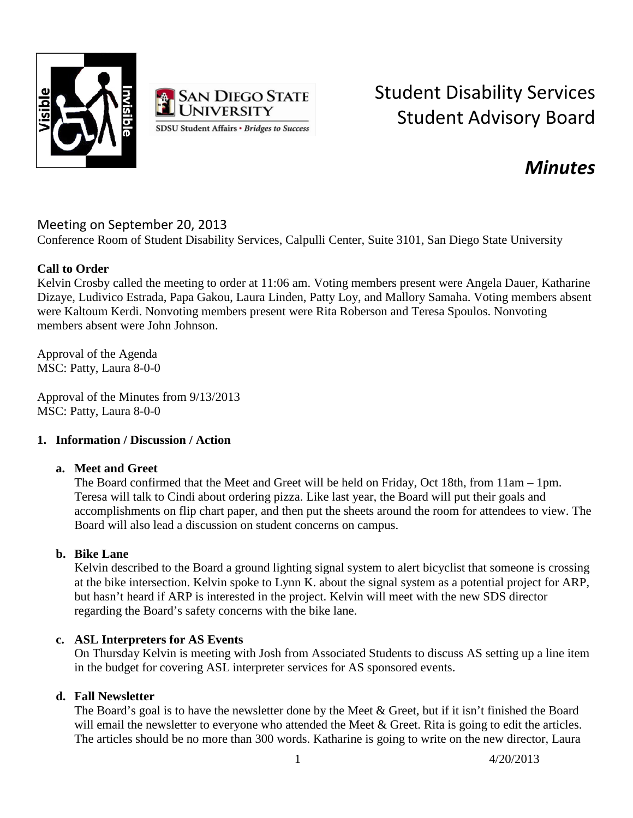



# Student Disability Services Student Advisory Board

# *Minutes*

# Meeting on September 20, 2013

Conference Room of Student Disability Services, Calpulli Center, Suite 3101, San Diego State University

# **Call to Order**

Kelvin Crosby called the meeting to order at 11:06 am. Voting members present were Angela Dauer, Katharine Dizaye, Ludivico Estrada, Papa Gakou, Laura Linden, Patty Loy, and Mallory Samaha. Voting members absent were Kaltoum Kerdi. Nonvoting members present were Rita Roberson and Teresa Spoulos. Nonvoting members absent were John Johnson.

Approval of the Agenda MSC: Patty, Laura 8-0-0

Approval of the Minutes from 9/13/2013 MSC: Patty, Laura 8-0-0

## **1. Information / Discussion / Action**

## **a. Meet and Greet**

The Board confirmed that the Meet and Greet will be held on Friday, Oct 18th, from 11am – 1pm. Teresa will talk to Cindi about ordering pizza. Like last year, the Board will put their goals and accomplishments on flip chart paper, and then put the sheets around the room for attendees to view. The Board will also lead a discussion on student concerns on campus.

## **b. Bike Lane**

Kelvin described to the Board a ground lighting signal system to alert bicyclist that someone is crossing at the bike intersection. Kelvin spoke to Lynn K. about the signal system as a potential project for ARP, but hasn't heard if ARP is interested in the project. Kelvin will meet with the new SDS director regarding the Board's safety concerns with the bike lane.

## **c. ASL Interpreters for AS Events**

On Thursday Kelvin is meeting with Josh from Associated Students to discuss AS setting up a line item in the budget for covering ASL interpreter services for AS sponsored events.

## **d. Fall Newsletter**

The Board's goal is to have the newsletter done by the Meet & Greet, but if it isn't finished the Board will email the newsletter to everyone who attended the Meet & Greet. Rita is going to edit the articles. The articles should be no more than 300 words. Katharine is going to write on the new director, Laura

1 4/20/2013